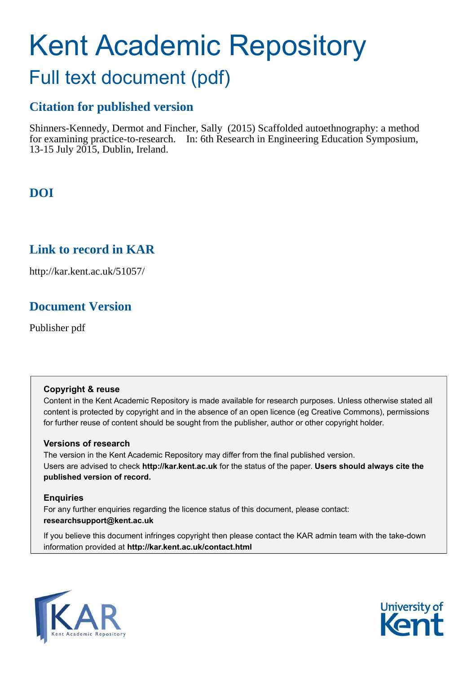# Kent Academic Repository

## Full text document (pdf)

## **Citation for published version**

Shinners-Kennedy, Dermot and Fincher, Sally (2015) Scaffolded autoethnography: a method for examining practice-to-research. In: 6th Research in Engineering Education Symposium, 13-15 July 2015, Dublin, Ireland.

## **DOI**

## **Link to record in KAR**

http://kar.kent.ac.uk/51057/

## **Document Version**

Publisher pdf

#### **Copyright & reuse**

Content in the Kent Academic Repository is made available for research purposes. Unless otherwise stated all content is protected by copyright and in the absence of an open licence (eg Creative Commons), permissions for further reuse of content should be sought from the publisher, author or other copyright holder.

#### **Versions of research**

The version in the Kent Academic Repository may differ from the final published version. Users are advised to check **http://kar.kent.ac.uk** for the status of the paper. **Users should always cite the published version of record.**

#### **Enquiries**

For any further enquiries regarding the licence status of this document, please contact: **researchsupport@kent.ac.uk**

If you believe this document infringes copyright then please contact the KAR admin team with the take-down information provided at **http://kar.kent.ac.uk/contact.html**



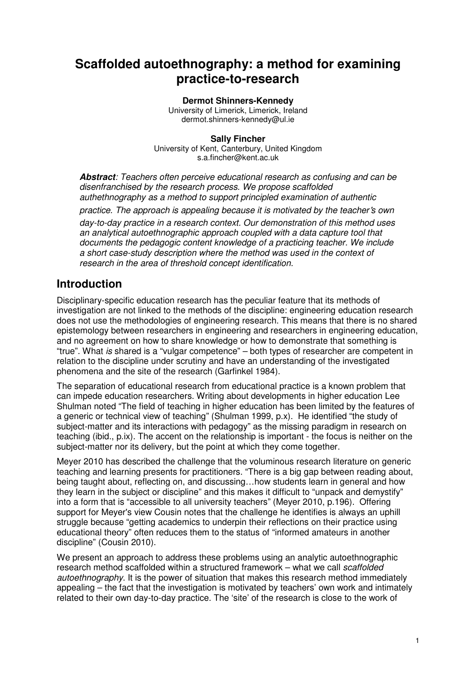## **Scaffolded autoethnography: a method for examining practice-to-research**

#### **Dermot Shinners-Kennedy**

University of Limerick, Limerick, Ireland dermot.shinners-kennedy@ul.ie

#### **Sally Fincher**

 University of Kent, Canterbury, United Kingdom s.a.fincher@kent.ac.uk

**Abstract***: Teachers often perceive educational research as confusing and can be disenfranchised by the research process. We propose scaffolded authethnography as a method to support principled examination of authentic* 

*practice. The approach is appealing because it is motivated by the teacher*'*s own* 

*day-to-day practice in a research context. Our demonstration of this method uses an analytical autoethnographic approach coupled with a data capture tool that documents the pedagogic content knowledge of a practicing teacher. We include a short case-study description where the method was used in the context of research in the area of threshold concept identification.* 

## **Introduction**

Disciplinary-specific education research has the peculiar feature that its methods of investigation are not linked to the methods of the discipline: engineering education research does not use the methodologies of engineering research. This means that there is no shared epistemology between researchers in engineering and researchers in engineering education, and no agreement on how to share knowledge or how to demonstrate that something is "true". What *is* shared is a "vulgar competence" – both types of researcher are competent in relation to the discipline under scrutiny and have an understanding of the investigated phenomena and the site of the research (Garfinkel 1984).

The separation of educational research from educational practice is a known problem that can impede education researchers. Writing about developments in higher education Lee Shulman noted "The field of teaching in higher education has been limited by the features of a generic or technical view of teaching" (Shulman 1999, p.x). He identified "the study of subject-matter and its interactions with pedagogy" as the missing paradigm in research on teaching (ibid., p.ix). The accent on the relationship is important - the focus is neither on the subject-matter nor its delivery, but the point at which they come together.

Meyer 2010 has described the challenge that the voluminous research literature on generic teaching and learning presents for practitioners. "There is a big gap between reading about, being taught about, reflecting on, and discussing…how students learn in general and how they learn in the subject or discipline" and this makes it difficult to "unpack and demystify" into a form that is "accessible to all university teachers" (Meyer 2010, p.196). Offering support for Meyer's view Cousin notes that the challenge he identifies is always an uphill struggle because "getting academics to underpin their reflections on their practice using educational theory" often reduces them to the status of "informed amateurs in another discipline" (Cousin 2010).

We present an approach to address these problems using an analytic autoethnographic research method scaffolded within a structured framework – what we call *scaffolded autoethnography*. It is the power of situation that makes this research method immediately appealing – the fact that the investigation is motivated by teachers' own work and intimately related to their own day-to-day practice. The 'site' of the research is close to the work of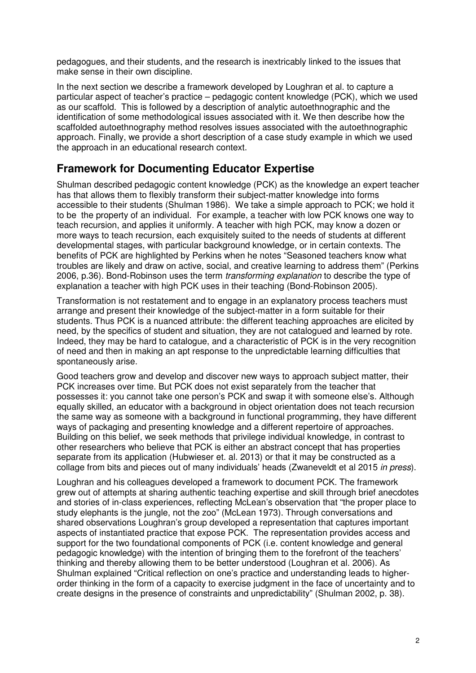pedagogues, and their students, and the research is inextricably linked to the issues that make sense in their own discipline.

In the next section we describe a framework developed by Loughran et al. to capture a particular aspect of teacher's practice – pedagogic content knowledge (PCK), which we used as our scaffold. This is followed by a description of analytic autoethnographic and the identification of some methodological issues associated with it. We then describe how the scaffolded autoethnography method resolves issues associated with the autoethnographic approach. Finally, we provide a short description of a case study example in which we used the approach in an educational research context.

## **Framework for Documenting Educator Expertise**

Shulman described pedagogic content knowledge (PCK) as the knowledge an expert teacher has that allows them to flexibly transform their subject-matter knowledge into forms accessible to their students (Shulman 1986). We take a simple approach to PCK; we hold it to be the property of an individual. For example, a teacher with low PCK knows one way to teach recursion, and applies it uniformly. A teacher with high PCK, may know a dozen or more ways to teach recursion, each exquisitely suited to the needs of students at different developmental stages, with particular background knowledge, or in certain contexts. The benefits of PCK are highlighted by Perkins when he notes "Seasoned teachers know what troubles are likely and draw on active, social, and creative learning to address them" (Perkins 2006, p.36). Bond-Robinson uses the term *transforming explanation* to describe the type of explanation a teacher with high PCK uses in their teaching (Bond-Robinson 2005).

Transformation is not restatement and to engage in an explanatory process teachers must arrange and present their knowledge of the subject-matter in a form suitable for their students. Thus PCK is a nuanced attribute: the different teaching approaches are elicited by need, by the specifics of student and situation, they are not catalogued and learned by rote. Indeed, they may be hard to catalogue, and a characteristic of PCK is in the very recognition of need and then in making an apt response to the unpredictable learning difficulties that spontaneously arise.

Good teachers grow and develop and discover new ways to approach subject matter, their PCK increases over time. But PCK does not exist separately from the teacher that possesses it: you cannot take one person's PCK and swap it with someone else's. Although equally skilled, an educator with a background in object orientation does not teach recursion the same way as someone with a background in functional programming, they have different ways of packaging and presenting knowledge and a different repertoire of approaches. Building on this belief, we seek methods that privilege individual knowledge, in contrast to other researchers who believe that PCK is either an abstract concept that has properties separate from its application (Hubwieser et. al. 2013) or that it may be constructed as a collage from bits and pieces out of many individuals' heads (Zwaneveldt et al 2015 *in press*).

Loughran and his colleagues developed a framework to document PCK. The framework grew out of attempts at sharing authentic teaching expertise and skill through brief anecdotes and stories of in-class experiences, reflecting McLean's observation that "the proper place to study elephants is the jungle, not the zoo" (McLean 1973). Through conversations and shared observations Loughran's group developed a representation that captures important aspects of instantiated practice that expose PCK. The representation provides access and support for the two foundational components of PCK (i.e. content knowledge and general pedagogic knowledge) with the intention of bringing them to the forefront of the teachers' thinking and thereby allowing them to be better understood (Loughran et al. 2006). As Shulman explained "Critical reflection on one's practice and understanding leads to higherorder thinking in the form of a capacity to exercise judgment in the face of uncertainty and to create designs in the presence of constraints and unpredictability" (Shulman 2002, p. 38).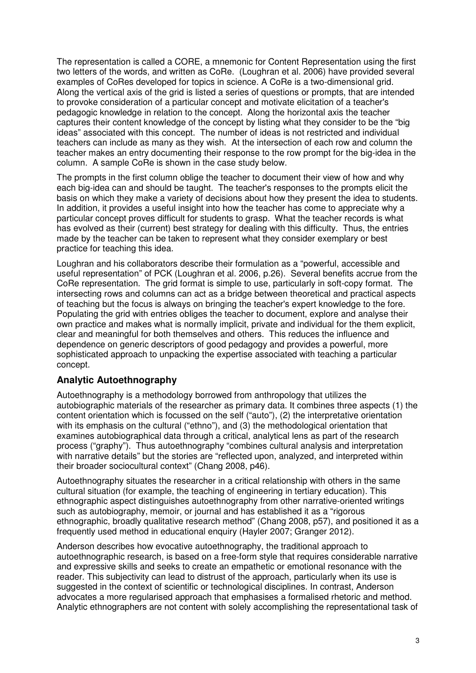The representation is called a CORE, a mnemonic for Content Representation using the first two letters of the words, and written as CoRe. (Loughran et al. 2006) have provided several examples of CoRes developed for topics in science. A CoRe is a two-dimensional grid. Along the vertical axis of the grid is listed a series of questions or prompts, that are intended to provoke consideration of a particular concept and motivate elicitation of a teacher's pedagogic knowledge in relation to the concept. Along the horizontal axis the teacher captures their content knowledge of the concept by listing what they consider to be the "big ideas" associated with this concept. The number of ideas is not restricted and individual teachers can include as many as they wish. At the intersection of each row and column the teacher makes an entry documenting their response to the row prompt for the big-idea in the column. A sample CoRe is shown in the case study below.

The prompts in the first column oblige the teacher to document their view of how and why each big-idea can and should be taught. The teacher's responses to the prompts elicit the basis on which they make a variety of decisions about how they present the idea to students. In addition, it provides a useful insight into how the teacher has come to appreciate why a particular concept proves difficult for students to grasp. What the teacher records is what has evolved as their (current) best strategy for dealing with this difficulty. Thus, the entries made by the teacher can be taken to represent what they consider exemplary or best practice for teaching this idea.

Loughran and his collaborators describe their formulation as a "powerful, accessible and useful representation" of PCK (Loughran et al. 2006, p.26). Several benefits accrue from the CoRe representation. The grid format is simple to use, particularly in soft-copy format. The intersecting rows and columns can act as a bridge between theoretical and practical aspects of teaching but the focus is always on bringing the teacher's expert knowledge to the fore. Populating the grid with entries obliges the teacher to document, explore and analyse their own practice and makes what is normally implicit, private and individual for the them explicit, clear and meaningful for both themselves and others. This reduces the influence and dependence on generic descriptors of good pedagogy and provides a powerful, more sophisticated approach to unpacking the expertise associated with teaching a particular concept.

#### **Analytic Autoethnography**

Autoethnography is a methodology borrowed from anthropology that utilizes the autobiographic materials of the researcher as primary data. It combines three aspects (1) the content orientation which is focussed on the self ("auto"), (2) the interpretative orientation with its emphasis on the cultural ("ethno"), and (3) the methodological orientation that examines autobiographical data through a critical, analytical lens as part of the research process ("graphy"). Thus autoethnography "combines cultural analysis and interpretation with narrative details" but the stories are "reflected upon, analyzed, and interpreted within their broader sociocultural context" (Chang 2008, p46).

Autoethnography situates the researcher in a critical relationship with others in the same cultural situation (for example, the teaching of engineering in tertiary education). This ethnographic aspect distinguishes autoethnography from other narrative-oriented writings such as autobiography, memoir, or journal and has established it as a "rigorous ethnographic, broadly qualitative research method" (Chang 2008, p57), and positioned it as a frequently used method in educational enquiry (Hayler 2007; Granger 2012).

Anderson describes how evocative autoethnography, the traditional approach to autoethnographic research, is based on a free-form style that requires considerable narrative and expressive skills and seeks to create an empathetic or emotional resonance with the reader. This subjectivity can lead to distrust of the approach, particularly when its use is suggested in the context of scientific or technological disciplines. In contrast, Anderson advocates a more regularised approach that emphasises a formalised rhetoric and method. Analytic ethnographers are not content with solely accomplishing the representational task of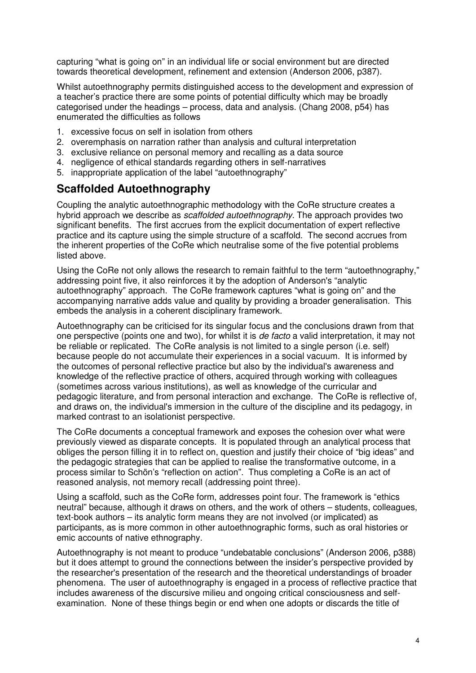capturing "what is going on" in an individual life or social environment but are directed towards theoretical development, refinement and extension (Anderson 2006, p387).

Whilst autoethnography permits distinguished access to the development and expression of a teacher's practice there are some points of potential difficulty which may be broadly categorised under the headings – process, data and analysis. (Chang 2008, p54) has enumerated the difficulties as follows

- 1. excessive focus on self in isolation from others
- 2. overemphasis on narration rather than analysis and cultural interpretation
- 3. exclusive reliance on personal memory and recalling as a data source
- 4. negligence of ethical standards regarding others in self-narratives
- 5. inappropriate application of the label "autoethnography"

### **Scaffolded Autoethnography**

Coupling the analytic autoethnographic methodology with the CoRe structure creates a hybrid approach we describe as *scaffolded autoethnography*. The approach provides two significant benefits. The first accrues from the explicit documentation of expert reflective practice and its capture using the simple structure of a scaffold. The second accrues from the inherent properties of the CoRe which neutralise some of the five potential problems listed above.

Using the CoRe not only allows the research to remain faithful to the term "autoethnography," addressing point five, it also reinforces it by the adoption of Anderson's "analytic autoethnography" approach. The CoRe framework captures "what is going on" and the accompanying narrative adds value and quality by providing a broader generalisation. This embeds the analysis in a coherent disciplinary framework.

Autoethnography can be criticised for its singular focus and the conclusions drawn from that one perspective (points one and two), for whilst it is *de facto* a valid interpretation, it may not be reliable or replicated. The CoRe analysis is not limited to a single person (i.e. self) because people do not accumulate their experiences in a social vacuum. It is informed by the outcomes of personal reflective practice but also by the individual's awareness and knowledge of the reflective practice of others, acquired through working with colleagues (sometimes across various institutions), as well as knowledge of the curricular and pedagogic literature, and from personal interaction and exchange. The CoRe is reflective of, and draws on, the individual's immersion in the culture of the discipline and its pedagogy, in marked contrast to an isolationist perspective.

The CoRe documents a conceptual framework and exposes the cohesion over what were previously viewed as disparate concepts. It is populated through an analytical process that obliges the person filling it in to reflect on, question and justify their choice of "big ideas" and the pedagogic strategies that can be applied to realise the transformative outcome, in a process similar to Schön's "reflection on action". Thus completing a CoRe is an act of reasoned analysis, not memory recall (addressing point three).

Using a scaffold, such as the CoRe form, addresses point four. The framework is "ethics neutral" because, although it draws on others, and the work of others – students, colleagues, text-book authors – its analytic form means they are not involved (or implicated) as participants, as is more common in other autoethnographic forms, such as oral histories or emic accounts of native ethnography.

Autoethnography is not meant to produce "undebatable conclusions" (Anderson 2006, p388) but it does attempt to ground the connections between the insider's perspective provided by the researcher's presentation of the research and the theoretical understandings of broader phenomena. The user of autoethnography is engaged in a process of reflective practice that includes awareness of the discursive milieu and ongoing critical consciousness and selfexamination. None of these things begin or end when one adopts or discards the title of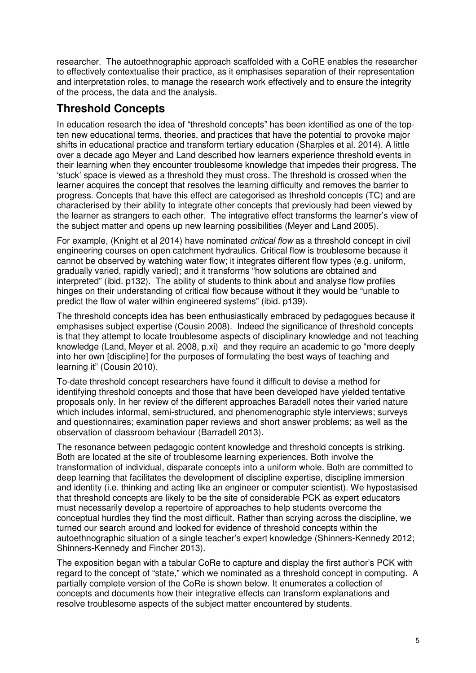researcher. The autoethnographic approach scaffolded with a CoRE enables the researcher to effectively contextualise their practice, as it emphasises separation of their representation and interpretation roles, to manage the research work effectively and to ensure the integrity of the process, the data and the analysis.

## **Threshold Concepts**

In education research the idea of "threshold concepts" has been identified as one of the topten new educational terms, theories, and practices that have the potential to provoke major shifts in educational practice and transform tertiary education (Sharples et al. 2014). A little over a decade ago Meyer and Land described how learners experience threshold events in their learning when they encounter troublesome knowledge that impedes their progress. The 'stuck' space is viewed as a threshold they must cross. The threshold is crossed when the learner acquires the concept that resolves the learning difficulty and removes the barrier to progress. Concepts that have this effect are categorised as threshold concepts (TC) and are characterised by their ability to integrate other concepts that previously had been viewed by the learner as strangers to each other. The integrative effect transforms the learner's view of the subject matter and opens up new learning possibilities (Meyer and Land 2005).

For example, (Knight et al 2014) have nominated *critical flow* as a threshold concept in civil engineering courses on open catchment hydraulics. Critical flow is troublesome because it cannot be observed by watching water flow; it integrates different flow types (e.g. uniform, gradually varied, rapidly varied); and it transforms "how solutions are obtained and interpreted" (ibid. p132). The ability of students to think about and analyse flow profiles hinges on their understanding of critical flow because without it they would be "unable to predict the flow of water within engineered systems" (ibid. p139).

The threshold concepts idea has been enthusiastically embraced by pedagogues because it emphasises subject expertise (Cousin 2008). Indeed the significance of threshold concepts is that they attempt to locate troublesome aspects of disciplinary knowledge and not teaching knowledge (Land, Meyer et al. 2008, p.xi) and they require an academic to go "more deeply into her own [discipline] for the purposes of formulating the best ways of teaching and learning it" (Cousin 2010).

To-date threshold concept researchers have found it difficult to devise a method for identifying threshold concepts and those that have been developed have yielded tentative proposals only. In her review of the different approaches Baradell notes their varied nature which includes informal, semi-structured, and phenomenographic style interviews; surveys and questionnaires; examination paper reviews and short answer problems; as well as the observation of classroom behaviour (Barradell 2013).

The resonance between pedagogic content knowledge and threshold concepts is striking. Both are located at the site of troublesome learning experiences. Both involve the transformation of individual, disparate concepts into a uniform whole. Both are committed to deep learning that facilitates the development of discipline expertise, discipline immersion and identity (i.e. thinking and acting like an engineer or computer scientist). We hypostasised that threshold concepts are likely to be the site of considerable PCK as expert educators must necessarily develop a repertoire of approaches to help students overcome the conceptual hurdles they find the most difficult. Rather than scrying across the discipline, we turned our search around and looked for evidence of threshold concepts within the autoethnographic situation of a single teacher's expert knowledge (Shinners-Kennedy 2012; Shinners-Kennedy and Fincher 2013).

The exposition began with a tabular CoRe to capture and display the first author's PCK with regard to the concept of "state," which we nominated as a threshold concept in computing. A partially complete version of the CoRe is shown below. It enumerates a collection of concepts and documents how their integrative effects can transform explanations and resolve troublesome aspects of the subject matter encountered by students.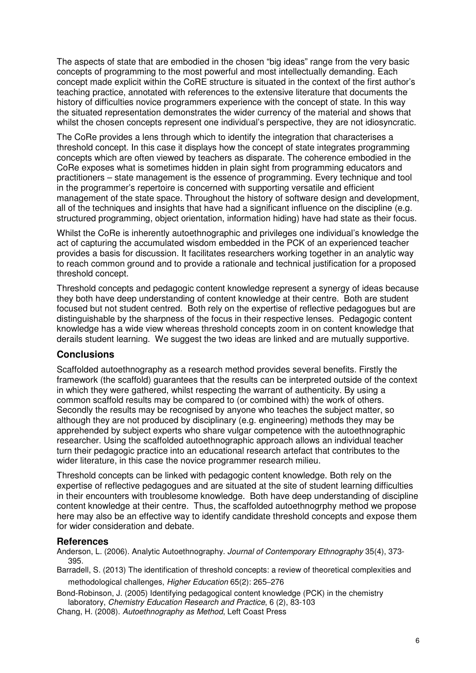The aspects of state that are embodied in the chosen "big ideas" range from the very basic concepts of programming to the most powerful and most intellectually demanding. Each concept made explicit within the CoRE structure is situated in the context of the first author's teaching practice, annotated with references to the extensive literature that documents the history of difficulties novice programmers experience with the concept of state. In this way the situated representation demonstrates the wider currency of the material and shows that whilst the chosen concepts represent one individual's perspective, they are not idiosyncratic.

The CoRe provides a lens through which to identify the integration that characterises a threshold concept. In this case it displays how the concept of state integrates programming concepts which are often viewed by teachers as disparate. The coherence embodied in the CoRe exposes what is sometimes hidden in plain sight from programming educators and practitioners – state management is the essence of programming. Every technique and tool in the programmer's repertoire is concerned with supporting versatile and efficient management of the state space. Throughout the history of software design and development, all of the techniques and insights that have had a significant influence on the discipline (e.g. structured programming, object orientation, information hiding) have had state as their focus.

Whilst the CoRe is inherently autoethnographic and privileges one individual's knowledge the act of capturing the accumulated wisdom embedded in the PCK of an experienced teacher provides a basis for discussion. It facilitates researchers working together in an analytic way to reach common ground and to provide a rationale and technical justification for a proposed threshold concept.

Threshold concepts and pedagogic content knowledge represent a synergy of ideas because they both have deep understanding of content knowledge at their centre. Both are student focused but not student centred. Both rely on the expertise of reflective pedagogues but are distinguishable by the sharpness of the focus in their respective lenses. Pedagogic content knowledge has a wide view whereas threshold concepts zoom in on content knowledge that derails student learning. We suggest the two ideas are linked and are mutually supportive.

#### **Conclusions**

Scaffolded autoethnography as a research method provides several benefits. Firstly the framework (the scaffold) guarantees that the results can be interpreted outside of the context in which they were gathered, whilst respecting the warrant of authenticity. By using a common scaffold results may be compared to (or combined with) the work of others. Secondly the results may be recognised by anyone who teaches the subject matter, so although they are not produced by disciplinary (e.g. engineering) methods they may be apprehended by subject experts who share vulgar competence with the autoethnographic researcher. Using the scaffolded autoethnographic approach allows an individual teacher turn their pedagogic practice into an educational research artefact that contributes to the wider literature, in this case the novice programmer research milieu.

Threshold concepts can be linked with pedagogic content knowledge. Both rely on the expertise of reflective pedagogues and are situated at the site of student learning difficulties in their encounters with troublesome knowledge. Both have deep understanding of discipline content knowledge at their centre. Thus, the scaffolded autoethnogrphy method we propose here may also be an effective way to identify candidate threshold concepts and expose them for wider consideration and debate.

#### **References**

Anderson, L. (2006). Analytic Autoethnography. *Journal of Contemporary Ethnography* 35(4), 373- 395.

Barradell, S. (2013) The identification of threshold concepts: a review of theoretical complexities and methodological challenges, *Higher Education* 65(2): 265–276

Bond-Robinson, J. (2005) Identifying pedagogical content knowledge (PCK) in the chemistry laboratory, *Chemistry Education Research and Practice*, 6 (2), 83-103

Chang, H. (2008). *Autoethnography as Method*, Left Coast Press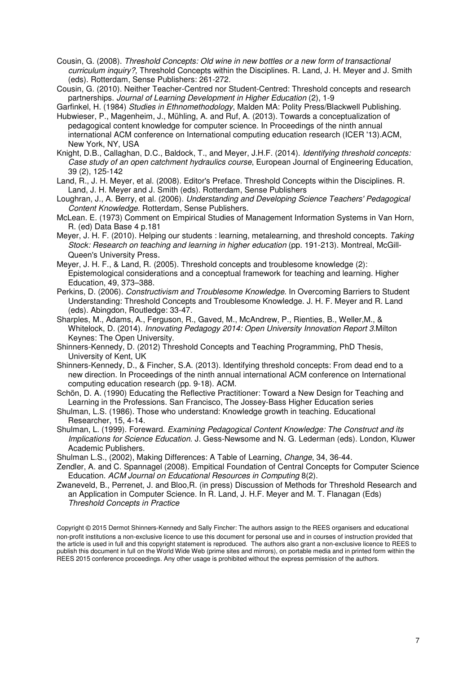- Cousin, G. (2008). *Threshold Concepts: Old wine in new bottles or a new form of transactional curriculum inquiry?,* Threshold Concepts within the Disciplines. R. Land, J. H. Meyer and J. Smith (eds). Rotterdam, Sense Publishers: 261-272.
- Cousin, G. (2010). Neither Teacher-Centred nor Student-Centred: Threshold concepts and research partnerships. *Journal of Learning Development in Higher Education* (2), 1-9

Garfinkel, H. (1984) *Studies in Ethnomethodology*, Malden MA: Polity Press/Blackwell Publishing. Hubwieser, P., Magenheim, J., Mühling, A. and Ruf, A. (2013). Towards a conceptualization of pedagogical content knowledge for computer science. In Proceedings of the ninth annual international ACM conference on International computing education research (ICER '13).ACM,

New York, NY, USA Knight, D.B., Callaghan, D.C., Baldock, T., and Meyer, J.H.F. (2014). *Identifying threshold concepts: Case study of an open catchment hydraulics course*, European Journal of Engineering Education,

39 (2), 125-142 Land, R., J. H. Meyer, et al. (2008). Editor's Preface. Threshold Concepts within the Disciplines. R. Land, J. H. Meyer and J. Smith (eds). Rotterdam, Sense Publishers

Loughran, J., A. Berry, et al. (2006). *Understanding and Developing Science Teachers' Pedagogical Content Knowledge*. Rotterdam, Sense Publishers.

McLean. E. (1973) Comment on Empirical Studies of Management Information Systems in Van Horn, R. (ed) Data Base 4 p.181

Meyer, J. H. F. (2010). Helping our students : learning, metalearning, and threshold concepts. *Taking Stock: Research on teaching and learning in higher education* (pp. 191-213). Montreal, McGill-Queen's University Press.

- Meyer, J. H. F., & Land, R. (2005). Threshold concepts and troublesome knowledge (2): Epistemological considerations and a conceptual framework for teaching and learning. Higher Education, 49, 373–388.
- Perkins, D. (2006). *Constructivism and Troublesome Knowledge*. In Overcoming Barriers to Student Understanding: Threshold Concepts and Troublesome Knowledge. J. H. F. Meyer and R. Land (eds). Abingdon, Routledge: 33-47.

Sharples, M., Adams, A., Ferguson, R., Gaved, M., McAndrew, P., Rienties, B., Weller,M., & Whitelock, D. (2014). *Innovating Pedagogy 2014: Open University Innovation Report 3*.Milton Keynes: The Open University.

Shinners-Kennedy, D. (2012) Threshold Concepts and Teaching Programming, PhD Thesis, University of Kent, UK

Shinners-Kennedy, D., & Fincher, S.A. (2013). Identifying threshold concepts: From dead end to a new direction. In Proceedings of the ninth annual international ACM conference on International computing education research (pp. 9-18). ACM.

Schön, D. A. (1990) Educating the Reflective Practitioner: Toward a New Design for Teaching and Learning in the Professions. San Francisco, The Jossey-Bass Higher Education series

Shulman, L. (1999). Foreward. *Examining Pedagogical Content Knowledge: The Construct and its Implications for Science Education*. J. Gess-Newsome and N. G. Lederman (eds). London, Kluwer Academic Publishers.

Shulman L.S., (2002), Making Differences: A Table of Learning, *Change*, 34, 36-44.

Zendler, A. and C. Spannagel (2008). Empitical Foundation of Central Concepts for Computer Science Education. *ACM Journal on Educational Resources in Computing* 8(2).

Zwaneveld, B., Perrenet, J. and Bloo,R. (in press) Discussion of Methods for Threshold Research and an Application in Computer Science. In R. Land, J. H.F. Meyer and M. T. Flanagan (Eds) *Threshold Concepts in Practice*

Copyright © 2015 Dermot Shinners-Kennedy and Sally Fincher: The authors assign to the REES organisers and educational non-profit institutions a non-exclusive licence to use this document for personal use and in courses of instruction provided that the article is used in full and this copyright statement is reproduced. The authors also grant a non-exclusive licence to REES to publish this document in full on the World Wide Web (prime sites and mirrors), on portable media and in printed form within the REES 2015 conference proceedings. Any other usage is prohibited without the express permission of the authors.

Shulman, L.S. (1986). Those who understand: Knowledge growth in teaching. Educational Researcher, 15, 4-14.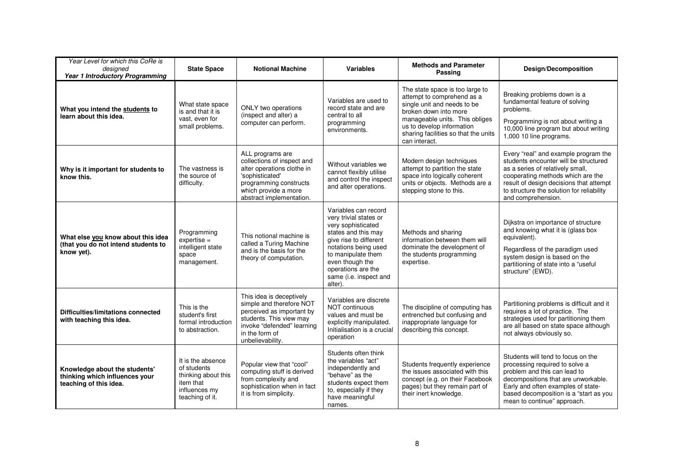| Year Level for which this CoRe is<br>designed<br>Year 1 Introductory Programming          | <b>State Space</b>                                                                                       | <b>Notional Machine</b>                                                                                                                                                          | <b>Variables</b>                                                                                                                                                                                                                                  | <b>Methods and Parameter</b><br>Passing                                                                                                                                                                                                       | <b>Design/Decomposition</b>                                                                                                                                                                                                                                          |
|-------------------------------------------------------------------------------------------|----------------------------------------------------------------------------------------------------------|----------------------------------------------------------------------------------------------------------------------------------------------------------------------------------|---------------------------------------------------------------------------------------------------------------------------------------------------------------------------------------------------------------------------------------------------|-----------------------------------------------------------------------------------------------------------------------------------------------------------------------------------------------------------------------------------------------|----------------------------------------------------------------------------------------------------------------------------------------------------------------------------------------------------------------------------------------------------------------------|
| What you intend the students to<br>learn about this idea.                                 | What state space<br>is and that it is<br>vast, even for<br>small problems.                               | ONLY two operations<br>(inspect and alter) a<br>computer can perform.                                                                                                            | Variables are used to<br>record state and are<br>central to all<br>programming<br>environments.                                                                                                                                                   | The state space is too large to<br>attempt to comprehend as a<br>single unit and needs to be<br>broken down into more<br>manageable units. This obliges<br>us to develop information<br>sharing facilities so that the units<br>can interact. | Breaking problems down is a<br>fundamental feature of solving<br>problems.<br>Programming is not about writing a<br>10,000 line program but about writing<br>1,000 10 line programs.                                                                                 |
| Why is it important for students to<br>know this.                                         | The vastness is<br>the source of<br>difficulty.                                                          | ALL programs are<br>collections of inspect and<br>alter operations clothe in<br>'sophisticated'<br>programming constructs<br>which provide a more<br>abstract implementation.    | Without variables we<br>cannot flexibly utilise<br>and control the inspect<br>and alter operations.                                                                                                                                               | Modern design techniques<br>attempt to partition the state<br>space into logically coherent<br>units or objects. Methods are a<br>stepping stone to this.                                                                                     | Every "real" and example program the<br>students encounter will be structured<br>as a series of relatively small,<br>cooperating methods which are the<br>result of design decisions that attempt<br>to structure the solution for reliability<br>and comprehension. |
| What else you know about this idea<br>(that you do not intend students to<br>know yet).   | Programming<br>$expertise =$<br>intelligent state<br>space<br>management.                                | This notional machine is<br>called a Turing Machine<br>and is the basis for the<br>theory of computation.                                                                        | Variables can record<br>very trivial states or<br>very sophisticated<br>states and this may<br>give rise to different<br>notations being used<br>to manipulate them<br>even though the<br>operations are the<br>same (i.e. inspect and<br>alter). | Methods and sharing<br>information between them will<br>dominate the development of<br>the students programming<br>expertise.                                                                                                                 | Dijkstra on importance of structure<br>and knowing what it is (glass box<br>equivalent).<br>Regardless of the paradigm used<br>system design is based on the<br>partitioning of state into a "useful<br>structure" (EWD).                                            |
| <b>Difficulties/limitations connected</b><br>with teaching this idea.                     | This is the<br>student's first<br>formal introduction<br>to abstraction.                                 | This idea is deceptively<br>simple and therefore NOT<br>perceived as important by<br>students. This view may<br>invoke "defended" learning<br>in the form of<br>unbelievability. | Variables are discrete<br><b>NOT continuous</b><br>values and must be<br>explicitly manipulated.<br>Initialisation is a crucial<br>operation                                                                                                      | The discipline of computing has<br>entrenched but confusing and<br>inappropriate language for<br>describing this concept.                                                                                                                     | Partitioning problems is difficult and it<br>requires a lot of practice. The<br>strategies used for partitioning them<br>are all based on state space although<br>not always obviously so.                                                                           |
| Knowledge about the students'<br>thinking which influences your<br>teaching of this idea. | It is the absence<br>of students<br>thinking about this<br>item that<br>influences my<br>teaching of it. | Popular view that "cool"<br>computing stuff is derived<br>from complexity and<br>sophistication when in fact<br>it is from simplicity.                                           | Students often think<br>the variables "act"<br>independently and<br>"behave" as the<br>students expect them<br>to, especially if they<br>have meaningful<br>names.                                                                                | Students frequently experience<br>the issues associated with this<br>concept (e.g. on their Facebook<br>pages) but they remain part of<br>their inert knowledge.                                                                              | Students will tend to focus on the<br>processing required to solve a<br>problem and this can lead to<br>decompositions that are unworkable.<br>Early and often examples of state-<br>based decomposition is a "start as you<br>mean to continue" approach.           |